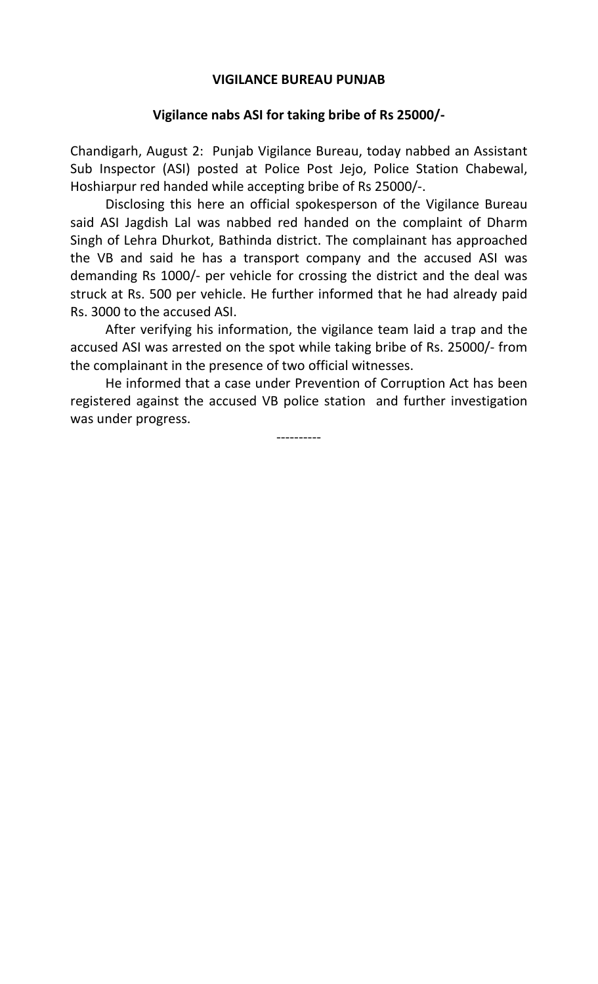## **VIGILANCE BUREAU PUNJAB**

## **Vigilance nabs ASI for taking bribe of Rs 25000/-**

Chandigarh, August 2: Punjab Vigilance Bureau, today nabbed an Assistant Sub Inspector (ASI) posted at Police Post Jejo, Police Station Chabewal, Hoshiarpur red handed while accepting bribe of Rs 25000/-.

Disclosing this here an official spokesperson of the Vigilance Bureau said ASI Jagdish Lal was nabbed red handed on the complaint of Dharm Singh of Lehra Dhurkot, Bathinda district. The complainant has approached the VB and said he has a transport company and the accused ASI was demanding Rs 1000/- per vehicle for crossing the district and the deal was struck at Rs. 500 per vehicle. He further informed that he had already paid Rs. 3000 to the accused ASI.

After verifying his information, the vigilance team laid a trap and the accused ASI was arrested on the spot while taking bribe of Rs. 25000/- from the complainant in the presence of two official witnesses.

 He informed that a case under Prevention of Corruption Act has been registered against the accused VB police station and further investigation was under progress.

----------